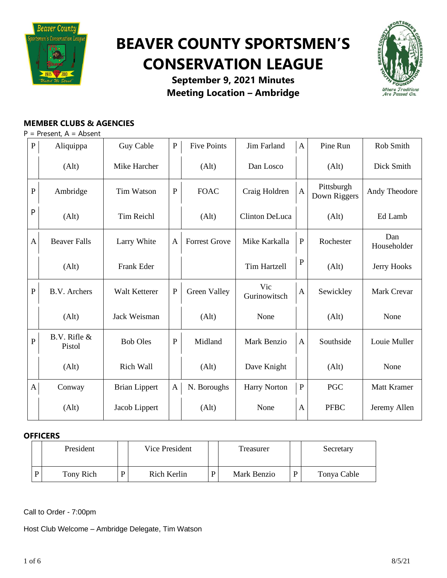

# **BEAVER COUNTY SPORTSMEN'S CONSERVATION LEAGUE**



**September 9, 2021 Minutes Meeting Location – Ambridge**

## **MEMBER CLUBS & AGENCIES**

 $P =$  Present,  $A =$  Absent

| $\mathbf{P}$   | Aliquippa              | Guy Cable            | ${\bf P}$    | <b>Five Points</b>   | Jim Farland         | $\mathbf{A}$ | Pine Run                   | Rob Smith          |
|----------------|------------------------|----------------------|--------------|----------------------|---------------------|--------------|----------------------------|--------------------|
|                | (Alt)                  | Mike Harcher         |              | (Alt)                | Dan Losco           |              | (Alt)                      | Dick Smith         |
| $\mathbf{P}$   | Ambridge               | <b>Tim Watson</b>    | ${\bf P}$    | <b>FOAC</b>          | Craig Holdren       | $\mathbf{A}$ | Pittsburgh<br>Down Riggers | Andy Theodore      |
| P              | (Alt)                  | <b>Tim Reichl</b>    |              | (Alt)                | Clinton DeLuca      |              | (Alt)                      | Ed Lamb            |
| A              | <b>Beaver Falls</b>    | Larry White          | A            | <b>Forrest Grove</b> | Mike Karkalla       | $\mathbf P$  | Rochester                  | Dan<br>Householder |
|                | (Alt)                  | Frank Eder           |              |                      | <b>Tim Hartzell</b> | ${\bf P}$    | (Alt)                      | Jerry Hooks        |
| ${\bf P}$      | <b>B.V.</b> Archers    | Walt Ketterer        | $\mathbf P$  | Green Valley         | Vic<br>Gurinowitsch | $\mathbf{A}$ | Sewickley                  | Mark Crevar        |
|                | (Alt)                  | Jack Weisman         |              | (Alt)                | None                |              | (Alt)                      | None               |
| $\overline{P}$ | B.V. Rifle &<br>Pistol | <b>Bob Oles</b>      | ${\bf P}$    | Midland              | Mark Benzio         | $\mathbf{A}$ | Southside                  | Louie Muller       |
|                | (Alt)                  | Rich Wall            |              | (Alt)                | Dave Knight         |              | (Alt)                      | None               |
| $\mathbf{A}$   | Conway                 | <b>Brian Lippert</b> | $\mathbf{A}$ | N. Boroughs          | <b>Harry Norton</b> | $\mathbf P$  | PGC                        | Matt Kramer        |
|                | (Alt)                  | Jacob Lippert        |              | (Alt)                | None                | A            | <b>PFBC</b>                | Jeremy Allen       |

## **OFFICERS**

| President |   | Vice President | Treasurer   |   | Secretary   |
|-----------|---|----------------|-------------|---|-------------|
| Tony Rich | D | Rich Kerlin    | Mark Benzio | D | Tonya Cable |

Call to Order - 7:00pm

Host Club Welcome – Ambridge Delegate, Tim Watson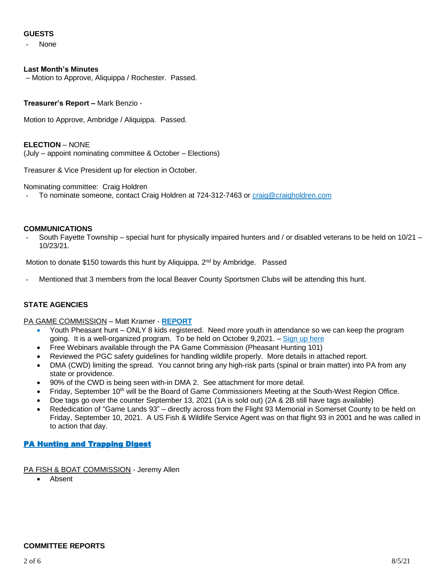## **GUESTS**

None

#### **Last Month's Minutes**

– Motion to Approve, Aliquippa / Rochester. Passed.

#### **Treasurer's Report –** Mark Benzio -

Motion to Approve, Ambridge / Aliquippa. Passed.

#### **ELECTION** – NONE

(July – appoint nominating committee & October – Elections)

Treasurer & Vice President up for election in October.

Nominating committee: Craig Holdren

To nominate someone, contact Craig Holdren at 724-312-7463 or [craig@craigholdren.com](mailto:craig@craigholdren.com)

#### **COMMUNICATIONS**

- South Fayette Township – special hunt for physically impaired hunters and / or disabled veterans to be held on 10/21 – 10/23/21.

Motion to donate \$150 towards this hunt by Aliquippa. 2<sup>nd</sup> by Ambridge. Passed

Mentioned that 3 members from the local Beaver County Sportsmen Clubs will be attending this hunt.

#### **STATE AGENCIES**

#### PA GAME COMMISSION – Matt Kramer - **[REPORT](https://drive.google.com/file/d/1OB-vAbqng1uuiOtGsWYoGXECGa3fFt6F/view?usp=sharing)**

- Youth Pheasant hunt ONLY 8 kids registered. Need more youth in attendance so we can keep the program going. It is a well-organized program. To be held on October 9,2021. – [Sign](https://www.register-ed.com/events/view/170827) up here
- Free Webinars available through the PA Game Commission (Pheasant Hunting 101)
- Reviewed the PGC safety guidelines for handling wildlife properly. More details in attached report.
- DMA (CWD) limiting the spread. You cannot bring any high-risk parts (spinal or brain matter) into PA from any state or providence.
- 90% of the CWD is being seen with-in DMA 2. See attachment for more detail.
- Friday, September 10<sup>th</sup> will be the Board of Game Commissioners Meeting at the South-West Region Office.
- Doe tags go over the counter September 13, 2021 (1A is sold out) (2A & 2B still have tags available)
- Rededication of "Game Lands 93" directly across from the Flight 93 Memorial in Somerset County to be held on Friday, September 10, 2021. A US Fish & Wildlife Service Agent was on that flight 93 in 2001 and he was called in to action that day.

## [PA Hunting and Trapping Digest](http://read.nxtbook.com/pgc/huntingtrapping/20212022/cover.html)

- PA FISH & BOAT COMMISSION Jeremy Allen
	- Absent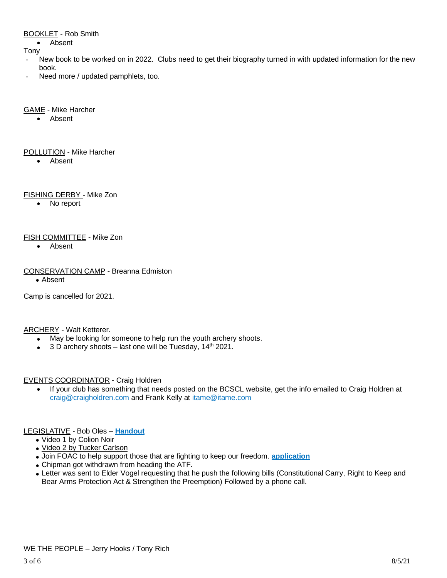#### BOOKLET - Rob Smith

• Absent

Tony

- New book to be worked on in 2022. Clubs need to get their biography turned in with updated information for the new book.
- Need more / updated pamphlets, too.

#### GAME - Mike Harcher

• Absent

#### POLLUTION - Mike Harcher

• Absent

## FISHING DERBY - Mike Zon

• No report

## FISH COMMITTEE - Mike Zon

• Absent

## CONSERVATION CAMP - Breanna Edmiston

• Absent

Camp is cancelled for 2021.

## **ARCHERY - Walt Ketterer.**

- May be looking for someone to help run the youth archery shoots.
- $3 D$  archery shoots last one will be Tuesday,  $14<sup>th</sup>$  2021.

## EVENTS COORDINATOR - Craig Holdren

• If your club has something that needs posted on the BCSCL website, get the info emailed to Craig Holdren at [craig@craigholdren.com](mailto:craig@craigholdren.com) and Frank Kelly at [itame@itame.com](mailto:itame@itame.com)

## LEGISLATIVE - Bob Oles – **[Handout](https://drive.google.com/file/d/1PqEB5hAsmuTu6MxQGRgJwS91QceoM_0s/view?usp=sharing)**

- Video 1 by [Colion](https://www.youtube.com/watch?v=2t3C54YY57o) Noir
- Video 2 by Tucker [Carlson](https://www.youtube.com/watch?v=t5xp25JK5CE)
- Join FOAC to help support those that are fighting to keep our freedom. **[application](https://drive.google.com/file/d/1pPzzd_blDZ5qMi3ySpDBBeZUZI0LnVUv/view?usp=sharing)**
- Chipman got withdrawn from heading the ATF.
- Letter was sent to Elder Vogel requesting that he push the following bills (Constitutional Carry, Right to Keep and Bear Arms Protection Act & Strengthen the Preemption) Followed by a phone call.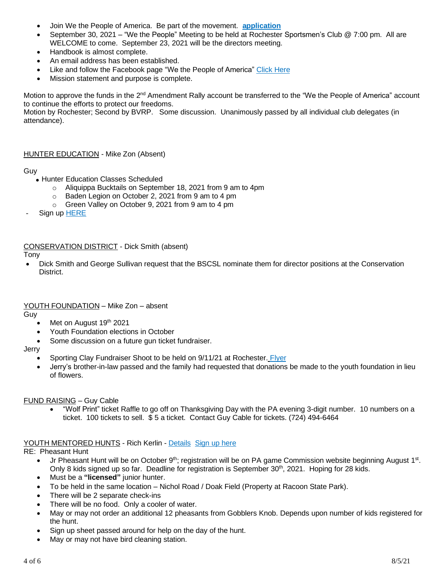- Join We the People of America. Be part of the movement. **[application](https://drive.google.com/file/d/1xVS8FpA9UNns9ClF1DJvnxdIfcugGoBy/view?usp=sharing)**
- September 30, 2021 "We the People" Meeting to be held at Rochester Sportsmen's Club @ 7:00 pm. All are WELCOME to come. September 23, 2021 will be the directors meeting.
- Handbook is almost complete.
- An email address has been established.
- Like and follow the Facebook page "We the People of America" Click [Here](https://www.facebook.com/WeThePeopleOfAmerica1/)
- Mission statement and purpose is complete.

Motion to approve the funds in the 2<sup>nd</sup> Amendment Rally account be transferred to the "We the People of America" account to continue the efforts to protect our freedoms.

Motion by Rochester; Second by BVRP. Some discussion. Unanimously passed by all individual club delegates (in attendance).

#### HUNTER EDUCATION - Mike Zon (Absent)

#### Guy

- Hunter Education Classes Scheduled
	- o Aliquippa Bucktails on September 18, 2021 from 9 am to 4pm
	- Baden Legion on October 2, 2021 from 9 am to 4 pm
	- o Green Valley on October 9, 2021 from 9 am to 4 pm
- Sign up [HERE](https://www.register-ed.com/programs/25?utm_source=HTE_Class_Calendar_Page&utm_medium=page_link&utm_campaign=HTE_Course)

## CONSERVATION DISTRICT - Dick Smith (absent)

#### Tony

• Dick Smith and George Sullivan request that the BSCSL nominate them for director positions at the Conservation District.

#### YOUTH FOUNDATION – Mike Zon – absent

Guy

- Met on August 19th 2021
- Youth Foundation elections in October
- Some discussion on a future gun ticket fundraiser.

#### Jerry

- Sporting Clay Fundraiser Shoot to be held on 9/11/21 at Rochester. [Flyer](https://drive.google.com/file/d/1pXftFGB9mtHM_sj7TvyCR6D_ac1q_kaL/view?usp=sharing)
- Jerry's brother-in-law passed and the family had requested that donations be made to the youth foundation in lieu of flowers.

#### FUND RAISING – Guy Cable

• "Wolf Print" ticket Raffle to go off on Thanksgiving Day with the PA evening 3-digit number. 10 numbers on a ticket. 100 tickets to sell. \$ 5 a ticket. Contact Guy Cable for tickets. (724) 494-6464

#### YOUTH MENTORED HUNTS - Rich Kerlin - [Details](https://drive.google.com/file/d/10KY9glBnis-KdIYdNNT_37XUf-LmAafx/view?usp=sharing) [Sign](https://www.register-ed.com/events/view/170827) up here

#### RE: Pheasant Hunt

- Jr Pheasant Hunt will be on October 9<sup>th</sup>; registration will be on PA game Commission website beginning August 1<sup>st</sup>. Only 8 kids signed up so far. Deadline for registration is September 30<sup>th</sup>, 2021. Hoping for 28 kids.
- Must be a **"licensed"** junior hunter.
- To be held in the same location Nichol Road / Doak Field (Property at Racoon State Park).
- There will be 2 separate check-ins
- There will be no food. Only a cooler of water.
- May or may not order an additional 12 pheasants from Gobblers Knob. Depends upon number of kids registered for the hunt.
- Sign up sheet passed around for help on the day of the hunt.
- May or may not have bird cleaning station.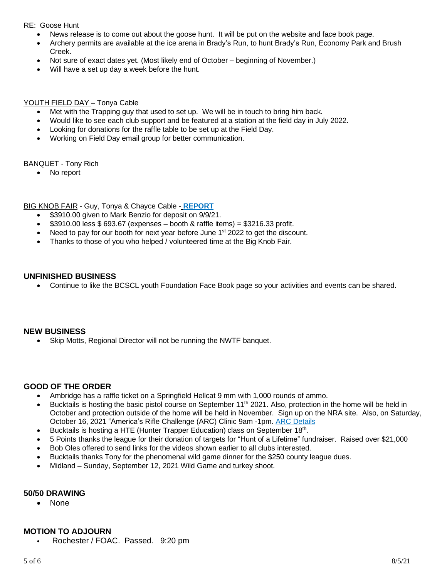## RE: Goose Hunt

- News release is to come out about the goose hunt. It will be put on the website and face book page.
- Archery permits are available at the ice arena in Brady's Run, to hunt Brady's Run, Economy Park and Brush Creek.
- Not sure of exact dates yet. (Most likely end of October beginning of November.)
- Will have a set up day a week before the hunt.

## YOUTH FIELD DAY – Tonya Cable

- Met with the Trapping guy that used to set up. We will be in touch to bring him back.
- Would like to see each club support and be featured at a station at the field day in July 2022.
- Looking for donations for the raffle table to be set up at the Field Day.
- Working on Field Day email group for better communication.

## BANQUET - Tony Rich

• No report

BIG KNOB FAIR - Guy, Tonya & Chayce Cable - **[REPORT](https://drive.google.com/file/d/1R4IuoaJvmsighuBxPeu8Nzn4WMgy8ga3/view?usp=sharing)**

- \$3910.00 given to Mark Benzio for deposit on 9/9/21.
- $$3910.00$  less  $$693.67$  (expenses booth & raffle items) = \$3216.33 profit.
- Need to pay for our booth for next year before June 1<sup>st</sup> 2022 to get the discount.
- Thanks to those of you who helped / volunteered time at the Big Knob Fair.

## **UNFINISHED BUSINESS**

• Continue to like the BCSCL youth Foundation Face Book page so your activities and events can be shared.

## **NEW BUSINESS**

Skip Motts, Regional Director will not be running the NWTF banquet.

## **GOOD OF THE ORDER**

- Ambridge has a raffle ticket on a Springfield Hellcat 9 mm with 1,000 rounds of ammo.
- Bucktails is hosting the basic pistol course on September 11<sup>th</sup> 2021. Also, protection in the home will be held in October and protection outside of the home will be held in November. Sign up on the NRA site. Also, on Saturday, October 16, 2021 "America's Rifle Challenge (ARC) Clinic 9am -1pm. ARC [Details](https://drive.google.com/file/d/1tChsV8qTrYed_dg0C7IB3aF_3KK039b5/view?usp=sharing)
- Bucktails is hosting a HTE (Hunter Trapper Education) class on September 18<sup>th</sup>.
- 5 Points thanks the league for their donation of targets for "Hunt of a Lifetime" fundraiser. Raised over \$21,000
- Bob Oles offered to send links for the videos shown earlier to all clubs interested.
- Bucktails thanks Tony for the phenomenal wild game dinner for the \$250 county league dues.
- Midland Sunday, September 12, 2021 Wild Game and turkey shoot.

## **50/50 DRAWING**

• None

## **MOTION TO ADJOURN**

• Rochester / FOAC. Passed. 9:20 pm